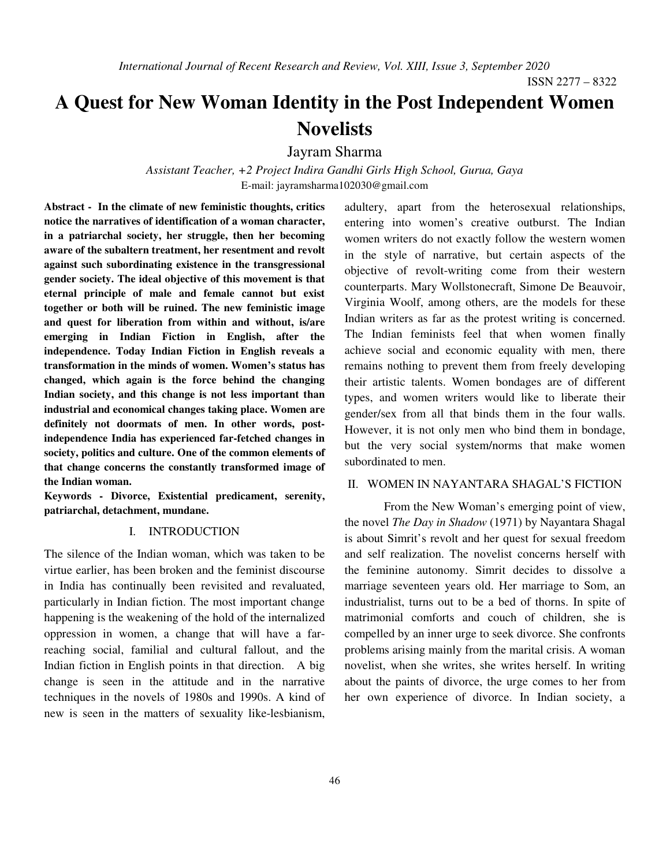ISSN 2277 – 8322

# **A Quest for New Woman Identity in the Post Independent Women Novelists**

Jayram Sharma

*Assistant Teacher, +2 Project Indira Gandhi Girls High School, Gurua, Gaya*  E-mail: jayramsharma102030@gmail.com

**Abstract - In the climate of new feministic thoughts, critics notice the narratives of identification of a woman character, in a patriarchal society, her struggle, then her becoming aware of the subaltern treatment, her resentment and revolt against such subordinating existence in the transgressional gender society. The ideal objective of this movement is that eternal principle of male and female cannot but exist together or both will be ruined. The new feministic image and quest for liberation from within and without, is/are emerging in Indian Fiction in English, after the independence. Today Indian Fiction in English reveals a transformation in the minds of women. Women's status has changed, which again is the force behind the changing Indian society, and this change is not less important than industrial and economical changes taking place. Women are definitely not doormats of men. In other words, postindependence India has experienced far-fetched changes in society, politics and culture. One of the common elements of that change concerns the constantly transformed image of the Indian woman.** 

**Keywords - Divorce, Existential predicament, serenity, patriarchal, detachment, mundane.** 

#### I. INTRODUCTION

The silence of the Indian woman, which was taken to be virtue earlier, has been broken and the feminist discourse in India has continually been revisited and revaluated, particularly in Indian fiction. The most important change happening is the weakening of the hold of the internalized oppression in women, a change that will have a farreaching social, familial and cultural fallout, and the Indian fiction in English points in that direction. A big change is seen in the attitude and in the narrative techniques in the novels of 1980s and 1990s. A kind of new is seen in the matters of sexuality like-lesbianism,

adultery, apart from the heterosexual relationships, entering into women's creative outburst. The Indian women writers do not exactly follow the western women in the style of narrative, but certain aspects of the objective of revolt-writing come from their western counterparts. Mary Wollstonecraft, Simone De Beauvoir, Virginia Woolf, among others, are the models for these Indian writers as far as the protest writing is concerned. The Indian feminists feel that when women finally achieve social and economic equality with men, there remains nothing to prevent them from freely developing their artistic talents. Women bondages are of different types, and women writers would like to liberate their gender/sex from all that binds them in the four walls. However, it is not only men who bind them in bondage, but the very social system/norms that make women subordinated to men.

### II. WOMEN IN NAYANTARA SHAGAL'S FICTION

From the New Woman's emerging point of view, the novel *The Day in Shadow* (1971) by Nayantara Shagal is about Simrit's revolt and her quest for sexual freedom and self realization. The novelist concerns herself with the feminine autonomy. Simrit decides to dissolve a marriage seventeen years old. Her marriage to Som, an industrialist, turns out to be a bed of thorns. In spite of matrimonial comforts and couch of children, she is compelled by an inner urge to seek divorce. She confronts problems arising mainly from the marital crisis. A woman novelist, when she writes, she writes herself. In writing about the paints of divorce, the urge comes to her from her own experience of divorce. In Indian society, a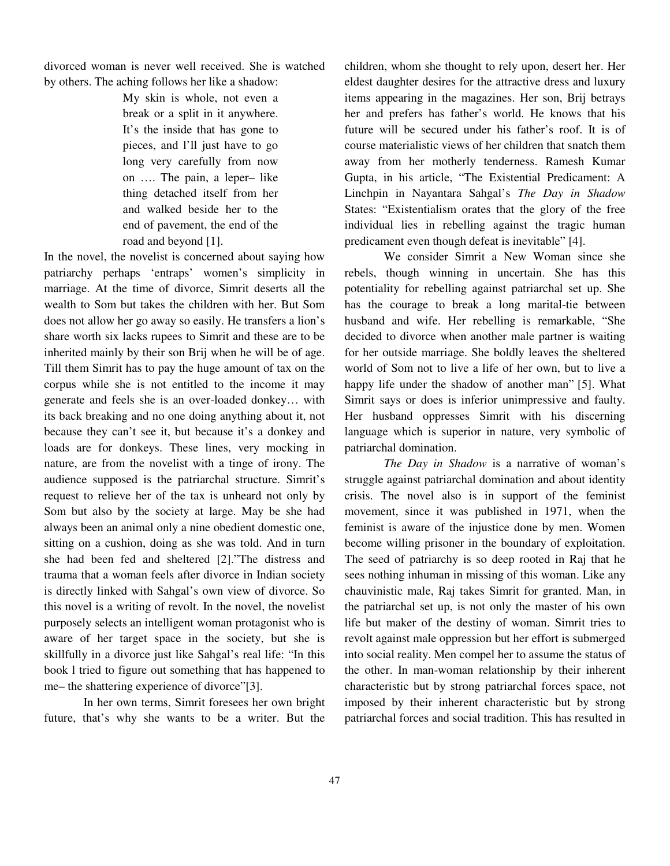divorced woman is never well received. She is watched by others. The aching follows her like a shadow:

> My skin is whole, not even a break or a split in it anywhere. It's the inside that has gone to pieces, and l'll just have to go long very carefully from now on …. The pain, a leper– like thing detached itself from her and walked beside her to the end of pavement, the end of the road and beyond [1].

In the novel, the novelist is concerned about saying how patriarchy perhaps 'entraps' women's simplicity in marriage. At the time of divorce, Simrit deserts all the wealth to Som but takes the children with her. But Som does not allow her go away so easily. He transfers a lion's share worth six lacks rupees to Simrit and these are to be inherited mainly by their son Brij when he will be of age. Till them Simrit has to pay the huge amount of tax on the corpus while she is not entitled to the income it may generate and feels she is an over-loaded donkey… with its back breaking and no one doing anything about it, not because they can't see it, but because it's a donkey and loads are for donkeys. These lines, very mocking in nature, are from the novelist with a tinge of irony. The audience supposed is the patriarchal structure. Simrit's request to relieve her of the tax is unheard not only by Som but also by the society at large. May be she had always been an animal only a nine obedient domestic one, sitting on a cushion, doing as she was told. And in turn she had been fed and sheltered [2]."The distress and trauma that a woman feels after divorce in Indian society is directly linked with Sahgal's own view of divorce. So this novel is a writing of revolt. In the novel, the novelist purposely selects an intelligent woman protagonist who is aware of her target space in the society, but she is skillfully in a divorce just like Sahgal's real life: "In this book l tried to figure out something that has happened to me– the shattering experience of divorce"[3].

 In her own terms, Simrit foresees her own bright future, that's why she wants to be a writer. But the children, whom she thought to rely upon, desert her. Her eldest daughter desires for the attractive dress and luxury items appearing in the magazines. Her son, Brij betrays her and prefers has father's world. He knows that his future will be secured under his father's roof. It is of course materialistic views of her children that snatch them away from her motherly tenderness. Ramesh Kumar Gupta, in his article, "The Existential Predicament: A Linchpin in Nayantara Sahgal's *The Day in Shadow*  States: "Existentialism orates that the glory of the free individual lies in rebelling against the tragic human predicament even though defeat is inevitable" [4].

 We consider Simrit a New Woman since she rebels, though winning in uncertain. She has this potentiality for rebelling against patriarchal set up. She has the courage to break a long marital-tie between husband and wife. Her rebelling is remarkable, "She decided to divorce when another male partner is waiting for her outside marriage. She boldly leaves the sheltered world of Som not to live a life of her own, but to live a happy life under the shadow of another man" [5]. What Simrit says or does is inferior unimpressive and faulty. Her husband oppresses Simrit with his discerning language which is superior in nature, very symbolic of patriarchal domination.

*The Day in Shadow* is a narrative of woman's struggle against patriarchal domination and about identity crisis. The novel also is in support of the feminist movement, since it was published in 1971, when the feminist is aware of the injustice done by men. Women become willing prisoner in the boundary of exploitation. The seed of patriarchy is so deep rooted in Raj that he sees nothing inhuman in missing of this woman. Like any chauvinistic male, Raj takes Simrit for granted. Man, in the patriarchal set up, is not only the master of his own life but maker of the destiny of woman. Simrit tries to revolt against male oppression but her effort is submerged into social reality. Men compel her to assume the status of the other. In man-woman relationship by their inherent characteristic but by strong patriarchal forces space, not imposed by their inherent characteristic but by strong patriarchal forces and social tradition. This has resulted in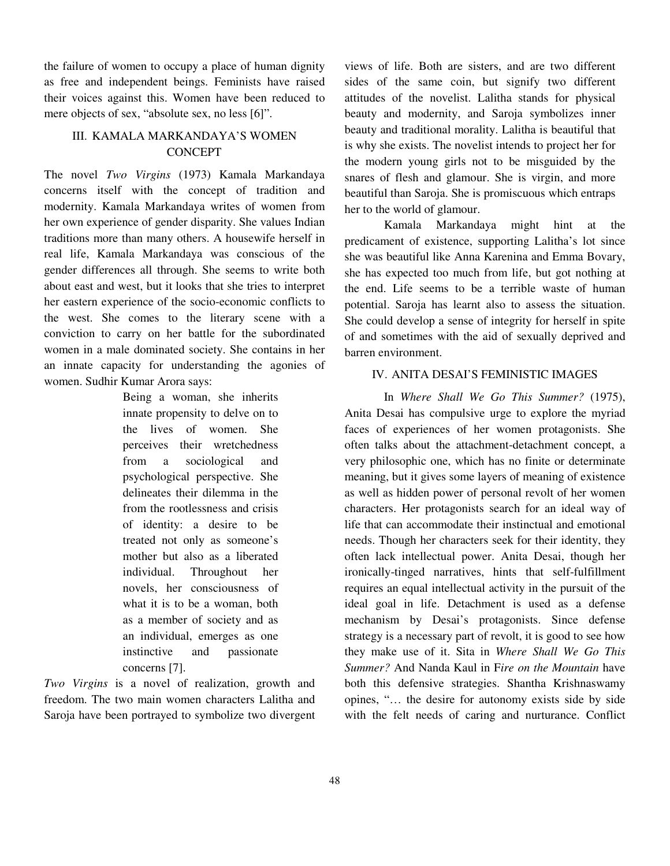the failure of women to occupy a place of human dignity as free and independent beings. Feminists have raised their voices against this. Women have been reduced to mere objects of sex, "absolute sex, no less [6]".

## III. KAMALA MARKANDAYA'S WOMEN **CONCEPT**

The novel *Two Virgins* (1973) Kamala Markandaya concerns itself with the concept of tradition and modernity. Kamala Markandaya writes of women from her own experience of gender disparity. She values Indian traditions more than many others. A housewife herself in real life, Kamala Markandaya was conscious of the gender differences all through. She seems to write both about east and west, but it looks that she tries to interpret her eastern experience of the socio-economic conflicts to the west. She comes to the literary scene with a conviction to carry on her battle for the subordinated women in a male dominated society. She contains in her an innate capacity for understanding the agonies of women. Sudhir Kumar Arora says:

> Being a woman, she inherits innate propensity to delve on to the lives of women. She perceives their wretchedness from a sociological and psychological perspective. She delineates their dilemma in the from the rootlessness and crisis of identity: a desire to be treated not only as someone's mother but also as a liberated individual. Throughout her novels, her consciousness of what it is to be a woman, both as a member of society and as an individual, emerges as one instinctive and passionate concerns [7].

*Two Virgins* is a novel of realization, growth and freedom. The two main women characters Lalitha and Saroja have been portrayed to symbolize two divergent views of life. Both are sisters, and are two different sides of the same coin, but signify two different attitudes of the novelist. Lalitha stands for physical beauty and modernity, and Saroja symbolizes inner beauty and traditional morality. Lalitha is beautiful that is why she exists. The novelist intends to project her for the modern young girls not to be misguided by the snares of flesh and glamour. She is virgin, and more beautiful than Saroja. She is promiscuous which entraps her to the world of glamour.

 Kamala Markandaya might hint at the predicament of existence, supporting Lalitha's lot since she was beautiful like Anna Karenina and Emma Bovary, she has expected too much from life, but got nothing at the end. Life seems to be a terrible waste of human potential. Saroja has learnt also to assess the situation. She could develop a sense of integrity for herself in spite of and sometimes with the aid of sexually deprived and barren environment.

## IV. ANITA DESAI'S FEMINISTIC IMAGES

In *Where Shall We Go This Summer?* (1975), Anita Desai has compulsive urge to explore the myriad faces of experiences of her women protagonists. She often talks about the attachment-detachment concept, a very philosophic one, which has no finite or determinate meaning, but it gives some layers of meaning of existence as well as hidden power of personal revolt of her women characters. Her protagonists search for an ideal way of life that can accommodate their instinctual and emotional needs. Though her characters seek for their identity, they often lack intellectual power. Anita Desai, though her ironically-tinged narratives, hints that self-fulfillment requires an equal intellectual activity in the pursuit of the ideal goal in life. Detachment is used as a defense mechanism by Desai's protagonists. Since defense strategy is a necessary part of revolt, it is good to see how they make use of it. Sita in *Where Shall We Go This Summer?* And Nanda Kaul in F*ire on the Mountain* have both this defensive strategies. Shantha Krishnaswamy opines, "… the desire for autonomy exists side by side with the felt needs of caring and nurturance. Conflict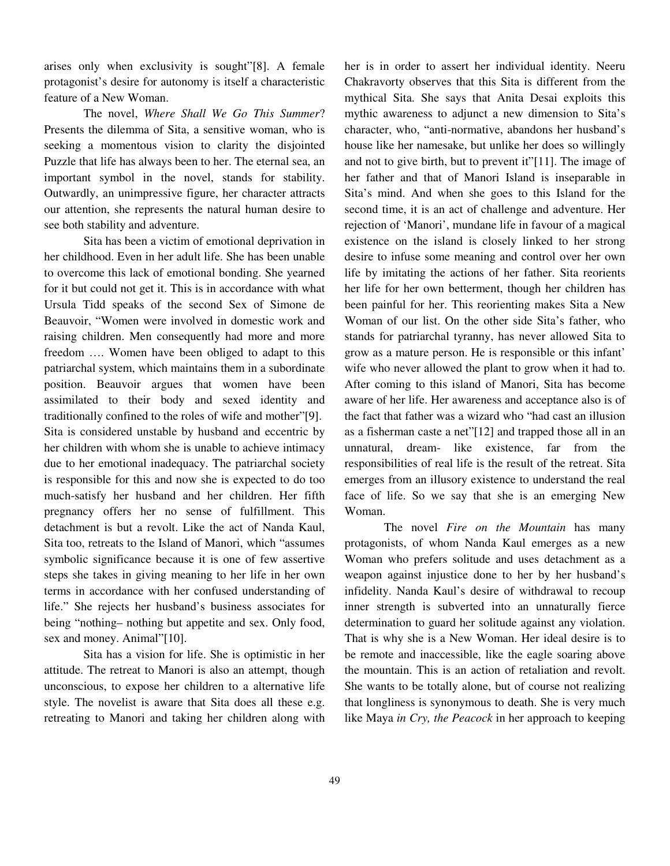arises only when exclusivity is sought"[8]. A female protagonist's desire for autonomy is itself a characteristic feature of a New Woman.

 The novel, *Where Shall We Go This Summer*? Presents the dilemma of Sita, a sensitive woman, who is seeking a momentous vision to clarity the disjointed Puzzle that life has always been to her. The eternal sea, an important symbol in the novel, stands for stability. Outwardly, an unimpressive figure, her character attracts our attention, she represents the natural human desire to see both stability and adventure.

 Sita has been a victim of emotional deprivation in her childhood. Even in her adult life. She has been unable to overcome this lack of emotional bonding. She yearned for it but could not get it. This is in accordance with what Ursula Tidd speaks of the second Sex of Simone de Beauvoir, "Women were involved in domestic work and raising children. Men consequently had more and more freedom …. Women have been obliged to adapt to this patriarchal system, which maintains them in a subordinate position. Beauvoir argues that women have been assimilated to their body and sexed identity and traditionally confined to the roles of wife and mother"[9]. Sita is considered unstable by husband and eccentric by her children with whom she is unable to achieve intimacy due to her emotional inadequacy. The patriarchal society is responsible for this and now she is expected to do too much-satisfy her husband and her children. Her fifth pregnancy offers her no sense of fulfillment. This detachment is but a revolt. Like the act of Nanda Kaul, Sita too, retreats to the Island of Manori, which "assumes symbolic significance because it is one of few assertive steps she takes in giving meaning to her life in her own terms in accordance with her confused understanding of life." She rejects her husband's business associates for being "nothing– nothing but appetite and sex. Only food, sex and money. Animal"[10].

Sita has a vision for life. She is optimistic in her attitude. The retreat to Manori is also an attempt, though unconscious, to expose her children to a alternative life style. The novelist is aware that Sita does all these e.g. retreating to Manori and taking her children along with her is in order to assert her individual identity. Neeru Chakravorty observes that this Sita is different from the mythical Sita. She says that Anita Desai exploits this mythic awareness to adjunct a new dimension to Sita's character, who, "anti-normative, abandons her husband's house like her namesake, but unlike her does so willingly and not to give birth, but to prevent it"[11]. The image of her father and that of Manori Island is inseparable in Sita's mind. And when she goes to this Island for the second time, it is an act of challenge and adventure. Her rejection of 'Manori', mundane life in favour of a magical existence on the island is closely linked to her strong desire to infuse some meaning and control over her own life by imitating the actions of her father. Sita reorients her life for her own betterment, though her children has been painful for her. This reorienting makes Sita a New Woman of our list. On the other side Sita's father, who stands for patriarchal tyranny, has never allowed Sita to grow as a mature person. He is responsible or this infant' wife who never allowed the plant to grow when it had to. After coming to this island of Manori, Sita has become aware of her life. Her awareness and acceptance also is of the fact that father was a wizard who "had cast an illusion as a fisherman caste a net"[12] and trapped those all in an unnatural, dream- like existence, far from the responsibilities of real life is the result of the retreat. Sita emerges from an illusory existence to understand the real face of life. So we say that she is an emerging New Woman.

 The novel *Fire on the Mountain* has many protagonists, of whom Nanda Kaul emerges as a new Woman who prefers solitude and uses detachment as a weapon against injustice done to her by her husband's infidelity. Nanda Kaul's desire of withdrawal to recoup inner strength is subverted into an unnaturally fierce determination to guard her solitude against any violation. That is why she is a New Woman. Her ideal desire is to be remote and inaccessible, like the eagle soaring above the mountain. This is an action of retaliation and revolt. She wants to be totally alone, but of course not realizing that longliness is synonymous to death. She is very much like Maya *in Cry, the Peacock* in her approach to keeping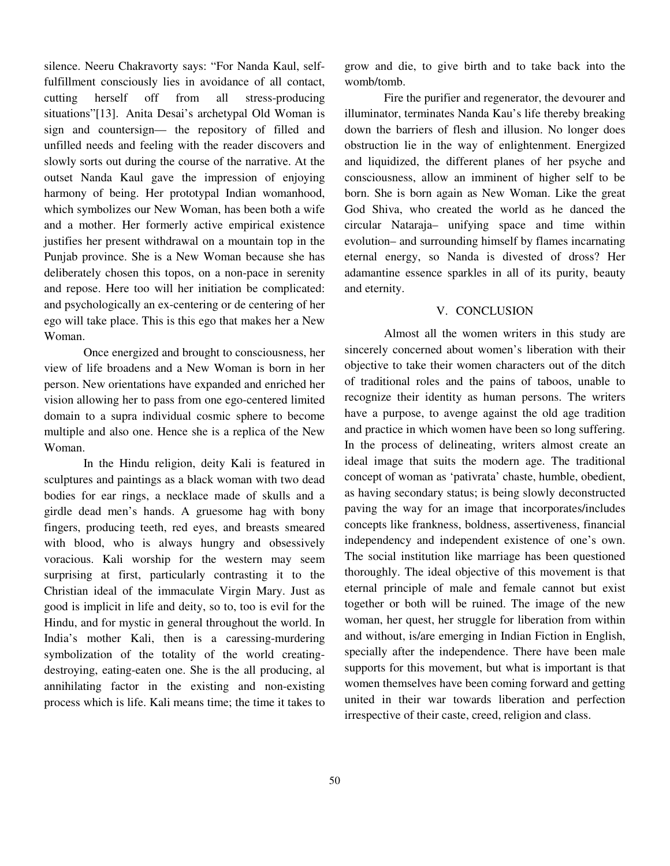silence. Neeru Chakravorty says: "For Nanda Kaul, selffulfillment consciously lies in avoidance of all contact, cutting herself off from all stress-producing situations"[13]. Anita Desai's archetypal Old Woman is sign and countersign— the repository of filled and unfilled needs and feeling with the reader discovers and slowly sorts out during the course of the narrative. At the outset Nanda Kaul gave the impression of enjoying harmony of being. Her prototypal Indian womanhood, which symbolizes our New Woman, has been both a wife and a mother. Her formerly active empirical existence justifies her present withdrawal on a mountain top in the Punjab province. She is a New Woman because she has deliberately chosen this topos, on a non-pace in serenity and repose. Here too will her initiation be complicated: and psychologically an ex-centering or de centering of her ego will take place. This is this ego that makes her a New Woman.

 Once energized and brought to consciousness, her view of life broadens and a New Woman is born in her person. New orientations have expanded and enriched her vision allowing her to pass from one ego-centered limited domain to a supra individual cosmic sphere to become multiple and also one. Hence she is a replica of the New Woman.

 In the Hindu religion, deity Kali is featured in sculptures and paintings as a black woman with two dead bodies for ear rings, a necklace made of skulls and a girdle dead men's hands. A gruesome hag with bony fingers, producing teeth, red eyes, and breasts smeared with blood, who is always hungry and obsessively voracious. Kali worship for the western may seem surprising at first, particularly contrasting it to the Christian ideal of the immaculate Virgin Mary. Just as good is implicit in life and deity, so to, too is evil for the Hindu, and for mystic in general throughout the world. In India's mother Kali, then is a caressing-murdering symbolization of the totality of the world creatingdestroying, eating-eaten one. She is the all producing, al annihilating factor in the existing and non-existing process which is life. Kali means time; the time it takes to

grow and die, to give birth and to take back into the womb/tomb.

 Fire the purifier and regenerator, the devourer and illuminator, terminates Nanda Kau's life thereby breaking down the barriers of flesh and illusion. No longer does obstruction lie in the way of enlightenment. Energized and liquidized, the different planes of her psyche and consciousness, allow an imminent of higher self to be born. She is born again as New Woman. Like the great God Shiva, who created the world as he danced the circular Nataraja– unifying space and time within evolution– and surrounding himself by flames incarnating eternal energy, so Nanda is divested of dross? Her adamantine essence sparkles in all of its purity, beauty and eternity.

#### V. CONCLUSION

 Almost all the women writers in this study are sincerely concerned about women's liberation with their objective to take their women characters out of the ditch of traditional roles and the pains of taboos, unable to recognize their identity as human persons. The writers have a purpose, to avenge against the old age tradition and practice in which women have been so long suffering. In the process of delineating, writers almost create an ideal image that suits the modern age. The traditional concept of woman as 'pativrata' chaste, humble, obedient, as having secondary status; is being slowly deconstructed paving the way for an image that incorporates/includes concepts like frankness, boldness, assertiveness, financial independency and independent existence of one's own. The social institution like marriage has been questioned thoroughly. The ideal objective of this movement is that eternal principle of male and female cannot but exist together or both will be ruined. The image of the new woman, her quest, her struggle for liberation from within and without, is/are emerging in Indian Fiction in English, specially after the independence. There have been male supports for this movement, but what is important is that women themselves have been coming forward and getting united in their war towards liberation and perfection irrespective of their caste, creed, religion and class.